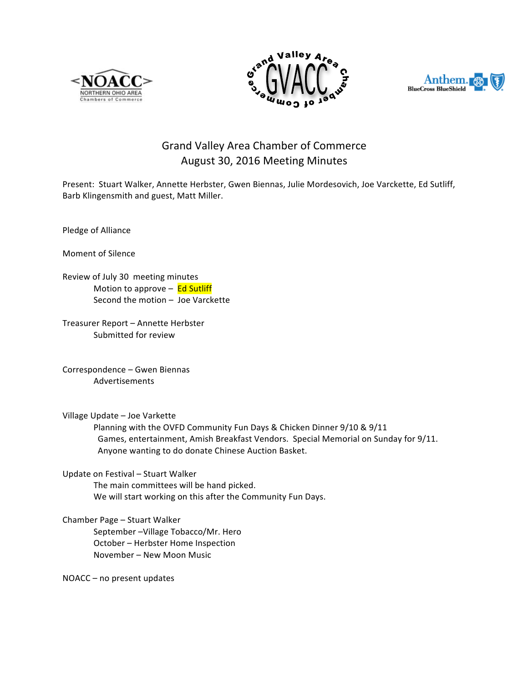





## Grand Valley Area Chamber of Commerce August 30, 2016 Meeting Minutes

Present: Stuart Walker, Annette Herbster, Gwen Biennas, Julie Mordesovich, Joe Varckette, Ed Sutliff, Barb Klingensmith and guest, Matt Miller.

Pledge of Alliance

Moment of Silence

Review of July 30 meeting minutes Motion to approve  $-$  Ed Sutliff Second the motion  $-$  Joe Varckette

Treasurer Report - Annette Herbster Submitted for review

Correspondence - Gwen Biennas Advertisements

Village Update - Joe Varkette

Planning with the OVFD Community Fun Days & Chicken Dinner 9/10 & 9/11 Games, entertainment, Amish Breakfast Vendors. Special Memorial on Sunday for 9/11. Anyone wanting to do donate Chinese Auction Basket.

Update on Festival - Stuart Walker

The main committees will be hand picked. We will start working on this after the Community Fun Days.

Chamber Page - Stuart Walker

September - Village Tobacco/Mr. Hero October - Herbster Home Inspection November - New Moon Music

NOACC – no present updates